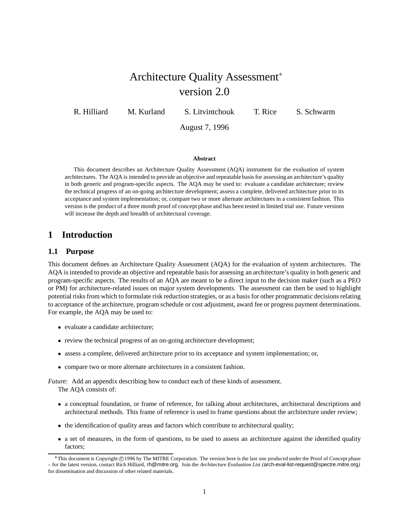# Architecture Quality Assessment version 2.0

R. Hilliard M. Kurland S. Litvintchouk T. Rice S. Schwarm

August 7, 1996

#### **Abstract**

This document describes an Architecture Quality Assessment (AQA) instrument for the evaluation of system architectures. The AQA is intended to provide an objective and repeatable basis for assessingan architecture's quality in both generic and program-specific aspects. The AQA may be used to: evaluate a candidate architecture; review the technical progress of an on-going architecture development; assess a complete, delivered architecture prior to its acceptance and system implementation; or, compare two or more alternate architectures in a consistent fashion. This version is the product of a three month proof of concept phase and has been tested in limited trial use. Future versions will increase the depth and breadth of architectural coverage.

# **1 Introduction**

### **1.1 Purpose**

This document defines an Architecture Quality Assessment (AQA) for the evaluation of system architectures. The AQA is intended to provide an objective and repeatable basis for assessing an architecture's quality in both generic and program-specific aspects. The results of an AQA are meant to be a direct input to the decision maker (such as a PEO or PM) for architecture-related issues on major system developments. The assessment can then be used to highlight potential risks from which to formulate risk reduction strategies, or as a basis for other programmatic decisions relating to acceptance of the architecture, program schedule or cost adjustment, award fee or progress payment determinations. For example, the AQA may be used to:

- evaluate a candidate architecture;
- review the technical progress of an on-going architecture development;
- assess a complete, delivered architecture prior to its acceptance and system implementation; or,
- compare two or more alternate architectures in a consistent fashion.

*Future*: Add an appendix describing how to conduct each of these kinds of assessment. The AQA consists of:

- a conceptual foundation, or frame of reference, for talking about architectures, architectural descriptions and architectural methods. This frame of reference is used to frame questions about the architecture under review;
- the identification of quality areas and factors which contribute to architectural quality;
- a set of measures, in the form of questions, to be used to assess an architecture against the identified quality factors;

<sup>\*</sup>This document is Copyright ©1996 by The MITRE Corporation. The version here is the last one produced under the Proof of Concept phase – for the latest version, contact Rich Hilliard, rh@mitre.org. Join the *Architecture Evaluation List (*arch-eval-list-request@spectre.mitre.org*)* for dissemination and discussion of other related materials.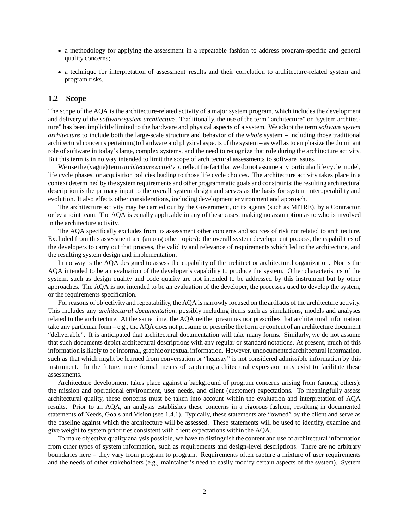- a methodology for applying the assessment in a repeatable fashion to address program-specific and general quality concerns;
- a technique for interpretation of assessment results and their correlation to architecture-related system and program risks.

### **1.2 Scope**

The scope of the AQA is the architecture-related activity of a major system program, which includes the development and delivery of the *software system architecture*. Traditionally, the use of the term "architecture" or "system architecture" has been implicitly limited to the hardware and physical aspects of a system. We adopt the term *software system architecture* to include both the large-scale structure and behavior of the *whole* system – including those traditional architectural concerns pertaining to hardware and physical aspects of the system – as well as to emphasize the dominant role of software in today's large, complex systems, and the need to recognize that role during the architecture activity. But this term is in no way intended to limit the scope of architectural assessments to software issues.

We use the (vague) term *architecture activity* to reflect the fact that we do not assume any particular life cycle model, life cycle phases, or acquisition policies leading to those life cycle choices. The architecture activity takes place in a context determined by the system requirements and other programmatic goals and constraints; the resulting architectural description is the primary input to the overall system design and serves as the basis for system interoperability and evolution. It also effects other considerations, including development environment and approach.

The architecture activity may be carried out by the Government, or its agents (such as MITRE), by a Contractor, or by a joint team. The AQA is equally applicable in any of these cases, making no assumption as to who is involved in the architecture activity.

The AQA specifically excludes from its assessment other concerns and sources of risk not related to architecture. Excluded from this assessment are (among other topics): the overall system development process, the capabilities of the developers to carry out that process, the validity and relevance of requirements which led to the architecture, and the resulting system design and implementation.

In no way is the AQA designed to assess the capability of the architect or architectural organization. Nor is the AQA intended to be an evaluation of the developer's capability to produce the system. Other characteristics of the system, such as design quality and code quality are not intended to be addressed by this instrument but by other approaches. The AQA is not intended to be an evaluation of the developer, the processes used to develop the system, or the requirements specification.

For reasons of objectivityand repeatability, the AQA is narrowly focused on the artifacts of the architecture activity. This includes any *architectural documentation*, possibly including items such as simulations, models and analyses related to the architecture. At the same time, the AQA neither presumes nor prescribes that architectural information take any particular form – e.g., the AQA does not presume or prescribe the form or content of an architecture document "deliverable". It is anticipated that architectural documentation will take many forms. Similarly, we do not assume that such documents depict architectural descriptions with any regular or standard notations. At present, much of this information is likely to be informal, graphic or textual information. However, undocumented architectural information, such as that which might be learned from conversation or "hearsay" is not considered admissible information by this instrument. In the future, more formal means of capturing architectural expression may exist to facilitate these assessments.

Architecture development takes place against a background of program concerns arising from (among others): the mission and operational environment, user needs, and client (customer) expectations. To meaningfully assess architectural quality, these concerns must be taken into account within the evaluation and interpretation of AQA results. Prior to an AQA, an analysis establishes these concerns in a rigorous fashion, resulting in documented statements of Needs, Goals and Vision (see 1.4.1). Typically, these statements are "owned" by the client and serve as the baseline against which the architecture will be assessed. These statements will be used to identify, examine and give weight to system priorities consistent with client expectations within the AQA.

To make objective quality analysis possible, we have to distinguish the content and use of architectural information from other types of system information, such as requirements and design-level descriptions. There are no arbitrary boundaries here – they vary from program to program. Requirements often capture a mixture of user requirements and the needs of other stakeholders (e.g., maintainer's need to easily modify certain aspects of the system). System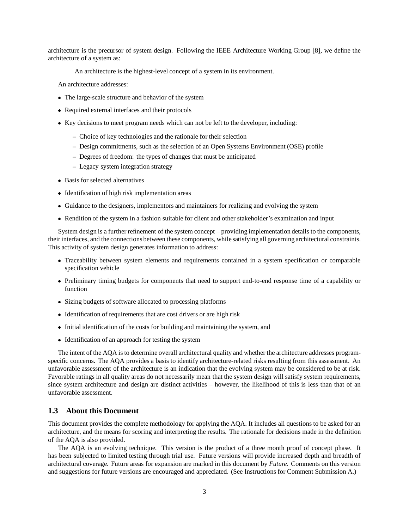architecture is the precursor of system design. Following the IEEE Architecture Working Group [8], we define the architecture of a system as:

An architecture is the highest-level concept of a system in its environment.

An architecture addresses:

- The large-scale structure and behavior of the system
- Required external interfaces and their protocols
- Key decisions to meet program needs which can not be left to the developer, including:
	- **–** Choice of key technologies and the rationale for their selection
	- **–** Design commitments, such as the selection of an Open Systems Environment (OSE) profile
	- **–** Degrees of freedom: the types of changes that must be anticipated
	- **–** Legacy system integration strategy
- Basis for selected alternatives
- Identification of high risk implementation areas
- Guidance to the designers, implementors and maintainers for realizing and evolving the system
- Rendition of the system in a fashion suitable for client and other stakeholder's examination and input

System design is a further refinement of the system concept – providing implementation details to the components, their interfaces, and the connections between these components, while satisfying all governing architectural constraints. This activity of system design generates information to address:

- Traceability between system elements and requirements contained in a system specification or comparable specification vehicle
- Preliminary timing budgets for components that need to support end-to-end response time of a capability or function
- Sizing budgets of software allocated to processing platforms
- Identification of requirements that are cost drivers or are high risk
- Initial identification of the costs for building and maintaining the system, and
- Identification of an approach for testing the system

The intent of the AQA is to determine overall architectural quality and whether the architecture addresses programspecific concerns. The AQA provides a basis to identify architecture-related risks resulting from this assessment. An unfavorable assessment of the architecture is an indication that the evolving system may be considered to be at risk. Favorable ratings in all quality areas do not necessarily mean that the system design will satisfy system requirements, since system architecture and design are distinct activities – however, the likelihood of this is less than that of an unfavorable assessment.

### **1.3 About this Document**

This document provides the complete methodology for applying the AQA. It includes all questions to be asked for an architecture, and the means for scoring and interpreting the results. The rationale for decisions made in the definition of the AQA is also provided.

The AQA is an evolving technique. This version is the product of a three month proof of concept phase. It has been subjected to limited testing through trial use. Future versions will provide increased depth and breadth of architectural coverage. Future areas for expansion are marked in this document by *Future*. Comments on this version and suggestions for future versions are encouraged and appreciated. (See Instructions for Comment Submission A.)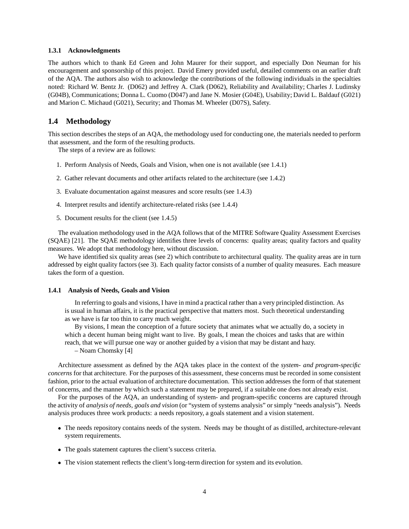#### **1.3.1 Acknowledgments**

The authors which to thank Ed Green and John Maurer for their support, and especially Don Neuman for his encouragement and sponsorship of this project. David Emery provided useful, detailed comments on an earlier draft of the AQA. The authors also wish to acknowledge the contributions of the following individuals in the specialties noted: Richard W. Bentz Jr. (D062) and Jeffrey A. Clark (D062), Reliability and Availability; Charles J. Ludinsky (G04B), Communications; Donna L. Cuomo (D047) and Jane N. Mosier (G04E), Usability; David L. Baldauf (G021) and Marion C. Michaud (G021), Security; and Thomas M. Wheeler (D07S), Safety.

### **1.4 Methodology**

This section describes the steps of an AQA, the methodology used for conducting one, the materials needed to perform that assessment, and the form of the resulting products.

The steps of a review are as follows:

- 1. Perform Analysis of Needs, Goals and Vision, when one is not available (see 1.4.1)
- 2. Gather relevant documents and other artifacts related to the architecture (see 1.4.2)
- 3. Evaluate documentation against measures and score results (see 1.4.3)
- 4. Interpret results and identify architecture-related risks (see 1.4.4)
- 5. Document results for the client (see 1.4.5)

The evaluation methodology used in the AQA follows that of the MITRE Software Quality Assessment Exercises (SQAE) [21]. The SQAE methodology identifies three levels of concerns: quality areas; quality factors and quality measures. We adopt that methodology here, without discussion.

We have identified six quality areas (see 2) which contribute to architectural quality. The quality areas are in turn addressed by eight quality factors (see 3). Each quality factor consists of a number of quality measures. Each measure takes the form of a question.

#### **1.4.1 Analysis of Needs, Goals and Vision**

In referring to goals and visions, I have in mind a practical rather than a very principled distinction. As is usual in human affairs, it is the practical perspective that matters most. Such theoretical understanding as we have is far too thin to carry much weight.

By visions, I mean the conception of a future society that animates what we actually do, a society in which a decent human being might want to live. By goals, I mean the choices and tasks that are within reach, that we will pursue one way or another guided by a vision that may be distant and hazy.

– Noam Chomsky [4]

Architecture assessment as defined by the AQA takes place in the context of the *system- and program-specific concerns* for that architecture. For the purposes of this assessment, these concerns must be recorded in some consistent fashion, prior to the actual evaluation of architecture documentation. This section addresses the form of that statement of concerns, and the manner by which such a statement may be prepared, if a suitable one does not already exist.

For the purposes of the AQA, an understanding of system- and program-specific concerns are captured through the activity of *analysis of needs, goals and vision* (or "system of systems analysis" or simply "needs analysis"). Needs analysis produces three work products: a needs repository, a goals statement and a vision statement.

- The needs repository contains needs of the system. Needs may be thought of as distilled, architecture-relevant system requirements.
- The goals statement captures the client's success criteria.
- The vision statement reflects the client's long-term direction for system and its evolution.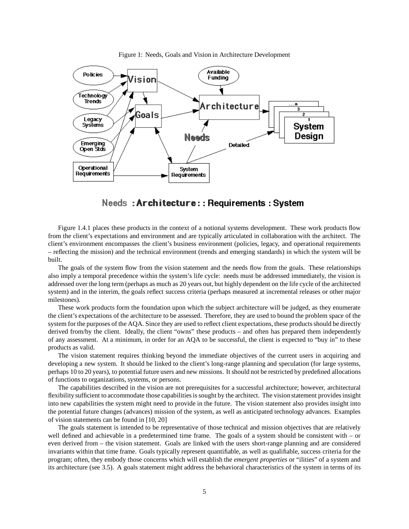

Figure 1: Needs, Goals and Vision in Architecture Development

# Needs: Architecture:: Requirements: System

Figure 1.4.1 places these products in the context of a notional systems development. These work products flow from the client's expectations and environment and are typically articulated in collaboration with the architect. The client's environment encompasses the client's business environment (policies, legacy, and operational requirements – reflecting the mission) and the technical environment (trends and emerging standards) in which the system will be built.

The goals of the system flow from the vision statement and the needs flow from the goals. These relationships also imply a temporal precedence within the system's life cycle: needs must be addressed immediately, the vision is addressed over the long term (perhaps as much as 20 years out, but highly dependent on the life cycle of the architected system) and in the interim, the goals reflect success criteria (perhaps measured at incremental releases or other major milestones).

These work products form the foundation upon which the subject architecture will be judged, as they enumerate the client's expectations of the architecture to be assessed. Therefore, they are used to bound the problem space of the system for the purposes of the AQA. Since they are used to reflect client expectations, these products should be directly derived from/by the client. Ideally, the client "owns" these products – and often has prepared them independently of any assessment. At a minimum, in order for an AQA to be successful, the client is expected to "buy in" to these products as valid.

The vision statement requires thinking beyond the immediate objectives of the current users in acquiring and developing a new system. It should be linked to the client's long-range planning and speculation (for large systems, perhaps 10 to 20 years), to potential future users and new missions. It should not be restricted by predefined allocations of functions to organizations, systems, or persons.

The capabilities described in the vision are not prerequisites for a successful architecture; however, architectural flexibility sufficient to accommodate those capabilities is sought by the architect. The vision statement provides insight into new capabilities the system might need to provide in the future. The vision statement also provides insight into the potential future changes (advances) mission of the system, as well as anticipated technology advances. Examples of vision statements can be found in [10, 20]

The goals statement is intended to be representative of those technical and mission objectives that are relatively well defined and achievable in a predetermined time frame. The goals of a system should be consistent with – or even derived from – the vision statement. Goals are linked with the users short-range planning and are considered invariants within that time frame. Goals typically represent quantifiable, as well as qualifiable, success criteria for the program; often, they embody those concerns which will establish the *emergent properties* or "ilities" of a system and its architecture (see 3.5). A goals statement might address the behavioral characteristics of the system in terms of its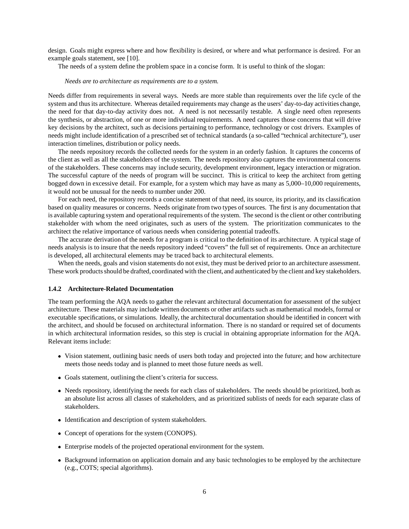design. Goals might express where and how flexibility is desired, or where and what performance is desired. For an example goals statement, see [10].

The needs of a system define the problem space in a concise form. It is useful to think of the slogan:

#### *Needs are to architecture as requirements are to a system.*

Needs differ from requirements in several ways. Needs are more stable than requirements over the life cycle of the system and thus its architecture. Whereas detailed requirements may change as the users' day-to-day activities change, the need for that day-to-day activity does not. A need is not necessarily testable. A single need often represents the synthesis, or abstraction, of one or more individual requirements. A need captures those concerns that will drive key decisions by the architect, such as decisions pertaining to performance, technology or cost drivers. Examples of needs might include identification of a prescribed set of technical standards (a so-called "technical architecture"), user interaction timelines, distribution or policy needs.

The needs repository records the collected needs for the system in an orderly fashion. It captures the concerns of the client as well as all the stakeholders of the system. The needs repository also captures the environmental concerns of the stakeholders. These concerns may include security, development environment, legacy interaction or migration. The successful capture of the needs of program will be succinct. This is critical to keep the architect from getting bogged down in excessive detail. For example, for a system which may have as many as 5,000–10,000 requirements, it would not be unusual for the needs to number under 200.

For each need, the repository records a concise statement of that need, its source, its priority, and its classification based on quality measures or concerns. Needs originate from two types of sources. The first is any documentation that is available capturing system and operational requirements of the system. The second is the client or other contributing stakeholder with whom the need originates, such as users of the system. The prioritization communicates to the architect the relative importance of various needs when considering potential tradeoffs.

The accurate derivation of the needs for a program is critical to the definition of its architecture. A typical stage of needs analysis is to insure that the needs repository indeed "covers" the full set of requirements. Once an architecture is developed, all architectural elements may be traced back to architectural elements.

When the needs, goals and vision statements do not exist, they must be derived prior to an architecture assessment. These work products should be drafted, coordinated with the client, and authenticated by the client and key stakeholders.

#### **1.4.2 Architecture-Related Documentation**

The team performing the AQA needs to gather the relevant architectural documentation for assessment of the subject architecture. These materials may include written documents or other artifacts such as mathematical models, formal or executable specifications, or simulations. Ideally, the architectural documentation should be identified in concert with the architect, and should be focused on architectural information. There is no standard or required set of documents in which architectural information resides, so this step is crucial in obtaining appropriate information for the AQA. Relevant items include:

- Vision statement, outlining basic needs of users both today and projected into the future; and how architecture meets those needs today and is planned to meet those future needs as well.
- Goals statement, outlining the client's criteria for success.
- Needs repository, identifying the needs for each class of stakeholders. The needs should be prioritized, both as an absolute list across all classes of stakeholders, and as prioritized sublists of needs for each separate class of stakeholders.
- Identification and description of system stakeholders.
- Concept of operations for the system (CONOPS).
- Enterprise models of the projected operational environment for the system.
- Background information on application domain and any basic technologies to be employed by the architecture (e.g., COTS; special algorithms).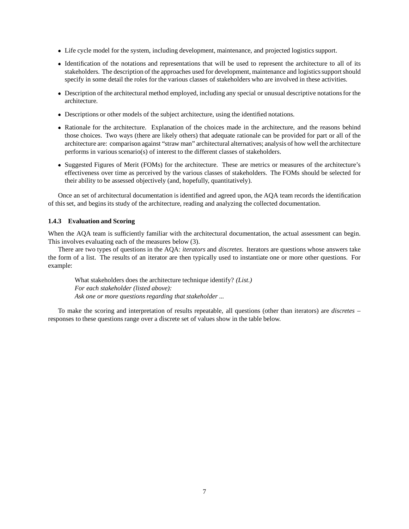- Life cycle model for the system, including development, maintenance, and projected logistics support.
- Identification of the notations and representations that will be used to represent the architecture to all of its stakeholders. The description of the approaches used for development, maintenance and logistics support should specify in some detail the roles for the various classes of stakeholders who are involved in these activities.
- Description of the architectural method employed, including any special or unusual descriptive notations for the architecture.
- Descriptions or other models of the subject architecture, using the identified notations.
- Rationale for the architecture. Explanation of the choices made in the architecture, and the reasons behind those choices. Two ways (there are likely others) that adequate rationale can be provided for part or all of the architecture are: comparison against "straw man" architectural alternatives; analysis of how well the architecture performs in various scenario(s) of interest to the different classes of stakeholders.
- Suggested Figures of Merit (FOMs) for the architecture. These are metrics or measures of the architecture's effectiveness over time as perceived by the various classes of stakeholders. The FOMs should be selected for their ability to be assessed objectively (and, hopefully, quantitatively).

Once an set of architectural documentation is identified and agreed upon, the AQA team records the identification of this set, and begins its study of the architecture, reading and analyzing the collected documentation.

#### **1.4.3 Evaluation and Scoring**

When the AQA team is sufficiently familiar with the architectural documentation, the actual assessment can begin. This involves evaluating each of the measures below (3).

There are two types of questions in the AQA: *iterators* and *discretes*. Iterators are questions whose answers take the form of a list. The results of an iterator are then typically used to instantiate one or more other questions. For example:

What stakeholders does the architecture technique identify? *(List.) For each stakeholder (listed above): Ask one or more questions regarding that stakeholder ...*

To make the scoring and interpretation of results repeatable, all questions (other than iterators) are *discretes* – responses to these questions range over a discrete set of values show in the table below.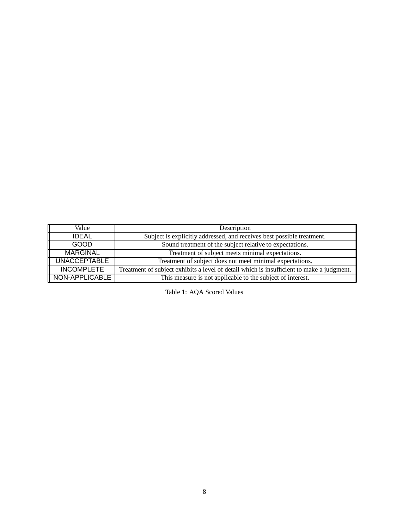| Value               | Description                                                                               |
|---------------------|-------------------------------------------------------------------------------------------|
| <b>IDEAL</b>        | Subject is explicitly addressed, and receives best possible treatment.                    |
| <b>GOOD</b>         | Sound treatment of the subject relative to expectations.                                  |
| MARGINAL            | Treatment of subject meets minimal expectations.                                          |
| <b>UNACCEPTABLE</b> | Treatment of subject does not meet minimal expectations.                                  |
| <b>INCOMPLETE</b>   | Treatment of subject exhibits a level of detail which is insufficient to make a judgment. |
| NON-APPLICABLE      | This measure is not applicable to the subject of interest.                                |

Table 1: AQA Scored Values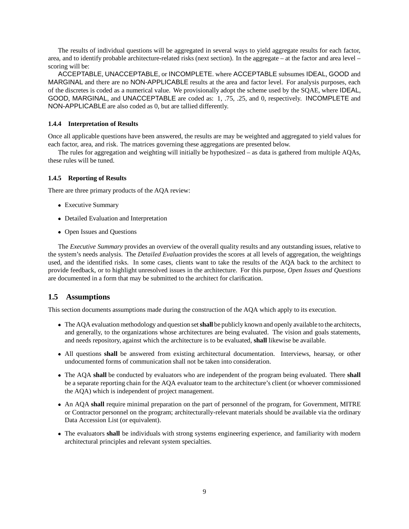The results of individual questions will be aggregated in several ways to yield aggregate results for each factor, area, and to identify probable architecture-related risks (next section). In the aggregate – at the factor and area level – scoring will be:

ACCEPTABLE, UNACCEPTABLE, or INCOMPLETE. where ACCEPTABLE subsumes IDEAL, GOOD and MARGINAL and there are no NON-APPLICABLE results at the area and factor level. For analysis purposes, each of the discretes is coded as a numerical value. We provisionally adopt the scheme used by the SQAE, where IDEAL, GOOD, MARGINAL, and UNACCEPTABLE are coded as: 1, .75, .25, and 0, respectively. INCOMPLETE and NON-APPLICABLE are also coded as 0, but are tallied differently.

### **1.4.4 Interpretation of Results**

Once all applicable questions have been answered, the results are may be weighted and aggregated to yield values for each factor, area, and risk. The matrices governing these aggregations are presented below.

The rules for aggregation and weighting will initially be hypothesized – as data is gathered from multiple AQAs, these rules will be tuned.

### **1.4.5 Reporting of Results**

There are three primary products of the AQA review:

- Executive Summary
- Detailed Evaluation and Interpretation
- Open Issues and Questions

The *Executive Summary* provides an overview of the overall quality results and any outstanding issues, relative to the system's needs analysis. The *Detailed Evaluation* provides the scores at all levels of aggregation, the weightings used, and the identified risks. In some cases, clients want to take the results of the AQA back to the architect to provide feedback, or to highlight unresolved issues in the architecture. For this purpose, *Open Issues and Questions* are documented in a form that may be submitted to the architect for clarification.

# **1.5 Assumptions**

This section documents assumptions made during the construction of the AQA which apply to its execution.

- The AQA evaluation methodology and question set**shall** be publicly known and openly available to the architects, and generally, to the organizations whose architectures are being evaluated. The vision and goals statements, and needs repository, against which the architecture is to be evaluated, **shall** likewise be available.
- All questions **shall** be answered from existing architectural documentation. Interviews, hearsay, or other undocumented forms of communication shall not be taken into consideration.
- The AQA **shall** be conducted by evaluators who are independent of the program being evaluated. There **shall** be a separate reporting chain for the AQA evaluator team to the architecture's client (or whoever commissioned the AQA) which is independent of project management.
- An AQA **shall** require minimal preparation on the part of personnel of the program, for Government, MITRE or Contractor personnel on the program; architecturally-relevant materials should be available via the ordinary Data Accession List (or equivalent).
- The evaluators **shall** be individuals with strong systems engineering experience, and familiarity with modern architectural principles and relevant system specialties.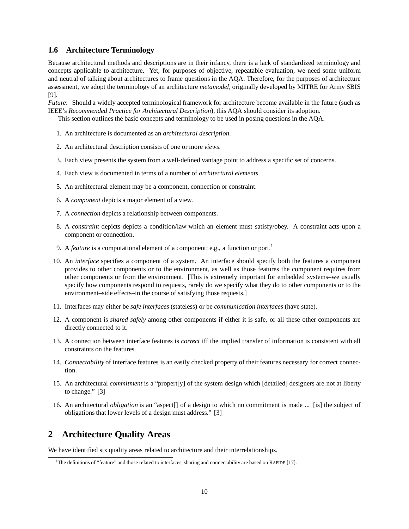# **1.6 Architecture Terminology**

Because architectural methods and descriptions are in their infancy, there is a lack of standardized terminology and concepts applicable to architecture. Yet, for purposes of objective, repeatable evaluation, we need some uniform and neutral of talking about architectures to frame questions in the AQA. Therefore, for the purposes of architecture assessment, we adopt the terminology of an architecture *metamodel*, originally developed by MITRE for Army SBIS [9].

*Future*: Should a widely accepted terminological framework for architecture become available in the future (such as IEEE's *Recommended Practice for Architectural Description*), this AQA should consider its adoption.

This section outlines the basic concepts and terminology to be used in posing questions in the AQA.

- 1. An architecture is documented as an *architectural description*.
- 2. An architectural description consists of one or more *views*.
- 3. Each view presents the system from a well-defined vantage point to address a specific set of concerns.
- 4. Each view is documented in terms of a number of *architectural elements*.
- 5. An architectural element may be a component, connection or constraint.
- 6. A *component* depicts a major element of a view.
- 7. A *connection* depicts a relationship between components.
- 8. A *constraint* depicts depicts a condition/law which an element must satisfy/obey. A constraint acts upon a component or connection.
- 9. A *feature* is a computational element of a component; e.g., a function or port.<sup>1</sup>
- 10. An *interface* specifies a component of a system. An interface should specify both the features a component provides to other components or to the environment, as well as those features the component requires from other components or from the environment. [This is extremely important for embedded systems–we usually specify how components respond to requests, rarely do we specify what they do to other components or to the environment–side effects–in the course of satisfying those requests.]
- 11. Interfaces may either be *safe interfaces* (stateless) or be *communication interfaces* (have state).
- 12. A component is *shared safely* among other components if either it is safe, or all these other components are directly connected to it.
- 13. A connection between interface features is *correct* iff the implied transfer of information is consistent with all constraints on the features.
- 14. *Connectability* of interface features is an easily checked property of their features necessary for correct connection.
- 15. An architectural *commitment* is a "propert[y] of the system design which [detailed] designers are not at liberty to change." [3]
- 16. An architectural *obligation* is an "aspect[] of a design to which no commitment is made ... [is] the subject of obligations that lower levels of a design must address." [3]

# **2 Architecture Quality Areas**

We have identified six quality areas related to architecture and their interrelationships.

<sup>1</sup>The definitions of "feature" and those related to interfaces, sharing and connectability are based on RAPIDE [17].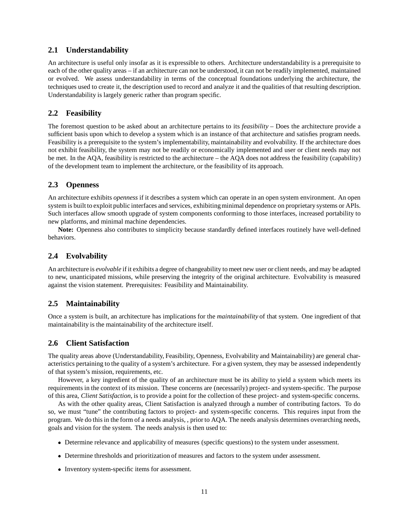# **2.1 Understandability**

An architecture is useful only insofar as it is expressible to others. Architecture understandability is a prerequisite to each of the other quality areas – if an architecture can not be understood, it can not be readily implemented, maintained or evolved. We assess understandability in terms of the conceptual foundations underlying the architecture, the techniques used to create it, the description used to record and analyze it and the qualities of that resulting description. Understandability is largely generic rather than program specific.

# **2.2 Feasibility**

The foremost question to be asked about an architecture pertains to its *feasibility* – Does the architecture provide a sufficient basis upon which to develop a system which is an instance of that architecture and satisfies program needs. Feasibility is a prerequisite to the system's implementability, maintainability and evolvability. If the architecture does not exhibit feasibility, the system may not be readily or economically implemented and user or client needs may not be met. In the AQA, feasibility is restricted to the architecture – the AQA does not address the feasibility (capability) of the development team to implement the architecture, or the feasibility of its approach.

# **2.3 Openness**

An architecture exhibits *openness* if it describes a system which can operate in an open system environment. An open system is built to exploit public interfaces and services, exhibiting minimal dependence on proprietary systems or APIs. Such interfaces allow smooth upgrade of system components conforming to those interfaces, increased portability to new platforms, and minimal machine dependencies.

**Note:** Openness also contributes to simplicity because standardly defined interfaces routinely have well-defined behaviors.

# **2.4 Evolvability**

An architecture is *evolvable* if it exhibits a degree of changeability to meet new user or client needs, and may be adapted to new, unanticipated missions, while preserving the integrity of the original architecture. Evolvability is measured against the vision statement. Prerequisites: Feasibility and Maintainability.

# **2.5 Maintainability**

Once a system is built, an architecture has implications for the *maintainability* of that system. One ingredient of that maintainability is the maintainability of the architecture itself.

# **2.6 Client Satisfaction**

The quality areas above (Understandability, Feasibility, Openness, Evolvability and Maintainability) are general characteristics pertaining to the quality of a system's architecture. For a given system, they may be assessed independently of that system's mission, requirements, etc.

However, a key ingredient of the quality of an architecture must be its ability to yield a system which meets its requirements in the context of its mission. These concerns are (necessarily) project- and system-specific. The purpose of this area, *Client Satisfaction*, is to provide a point for the collection of these project- and system-specific concerns.

As with the other quality areas, Client Satisfaction is analyzed through a number of contributing factors. To do so, we must "tune" the contributing factors to project- and system-specific concerns. This requires input from the program. We do this in the form of a needs analysis, , prior to AQA. The needs analysis determines overarching needs, goals and vision for the system. The needs analysis is then used to:

- Determine relevance and applicability of measures (specific questions) to the system under assessment.
- Determine thresholds and prioritization of measures and factors to the system under assessment.
- Inventory system-specific items for assessment.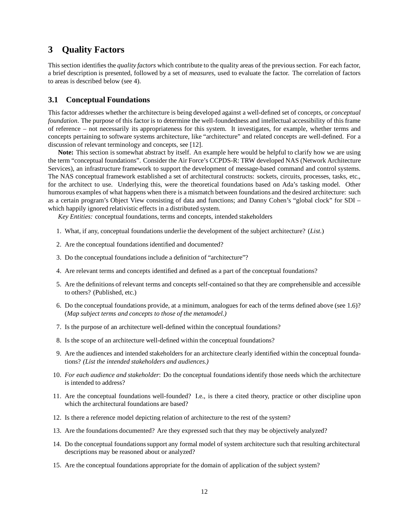# **3 Quality Factors**

This section identifies the *quality factors* which contribute to the quality areas of the previous section. For each factor, a brief description is presented, followed by a set of *measures*, used to evaluate the factor. The correlation of factors to areas is described below (see 4).

### **3.1 Conceptual Foundations**

This factor addresses whether the architecture is being developed against a well-defined set of concepts, or *conceptual foundation*. The purpose of this factor is to determine the well-foundedness and intellectual accessibility of this frame of reference – not necessarily its appropriateness for this system. It investigates, for example, whether terms and concepts pertaining to software systems architecture, like "architecture" and related concepts are well-defined. For a discussion of relevant terminology and concepts, see [12].

**Note:** This section is somewhat abstract by itself. An example here would be helpful to clarify how we are using the term "conceptual foundations". Consider the Air Force's CCPDS-R: TRW developed NAS (Network Architecture Services), an infrastructure framework to support the development of message-based command and control systems. The NAS conceptual framework established a set of architectural constructs: sockets, circuits, processes, tasks, etc., for the architect to use. Underlying this, were the theoretical foundations based on Ada's tasking model. Other humorous examples of what happens when there is a mismatch between foundations and the desired architecture: such as a certain program's Object View consisting of data and functions; and Danny Cohen's "global clock" for SDI – which happily ignored relativistic effects in a distributed system.

*Key Entities:* conceptual foundations, terms and concepts, intended stakeholders

- 1. What, if any, conceptual foundations underlie the development of the subject architecture? (*List.*)
- 2. Are the conceptual foundations identified and documented?
- 3. Do the conceptual foundations include a definition of "architecture"?
- 4. Are relevant terms and concepts identified and defined as a part of the conceptual foundations?
- 5. Are the definitions of relevant terms and concepts self-contained so that they are comprehensible and accessible to others? (Published, etc.)
- 6. Do the conceptual foundations provide, at a minimum, analogues for each of the terms defined above (see 1.6)? (*Map subject terms and concepts to those of the metamodel.)*
- 7. Is the purpose of an architecture well-defined within the conceptual foundations?
- 8. Is the scope of an architecture well-defined within the conceptual foundations?
- 9. Are the audiences and intended stakeholders for an architecture clearly identified within the conceptual foundations? *(List the intended stakeholders and audiences.)*
- 10. *For each audience and stakeholder*: Do the conceptual foundations identify those needs which the architecture is intended to address?
- 11. Are the conceptual foundations well-founded? I.e., is there a cited theory, practice or other discipline upon which the architectural foundations are based?
- 12. Is there a reference model depicting relation of architecture to the rest of the system?
- 13. Are the foundations documented? Are they expressed such that they may be objectively analyzed?
- 14. Do the conceptual foundations support any formal model of system architecture such that resulting architectural descriptions may be reasoned about or analyzed?
- 15. Are the conceptual foundations appropriate for the domain of application of the subject system?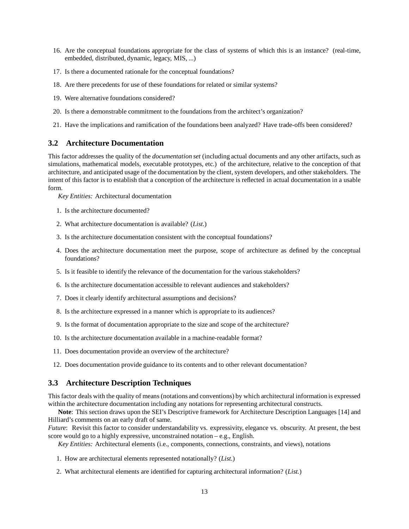- 16. Are the conceptual foundations appropriate for the class of systems of which this is an instance? (real-time, embedded, distributed, dynamic, legacy, MIS, ...)
- 17. Is there a documented rationale for the conceptual foundations?
- 18. Are there precedents for use of these foundations for related or similar systems?
- 19. Were alternative foundations considered?
- 20. Is there a demonstrable commitment to the foundations from the architect's organization?
- 21. Have the implications and ramification of the foundations been analyzed? Have trade-offs been considered?

### **3.2 Architecture Documentation**

This factor addresses the quality of the *documentation set* (including actual documents and any other artifacts, such as simulations, mathematical models, executable prototypes, etc.) of the architecture, relative to the conception of that architecture, and anticipated usage of the documentation by the client, system developers, and other stakeholders. The intent of this factor is to establish that a conception of the architecture is reflected in actual documentation in a usable form.

*Key Entities:* Architectural documentation

- 1. Is the architecture documented?
- 2. What architecture documentation is available? (*List.*)
- 3. Is the architecture documentation consistent with the conceptual foundations?
- 4. Does the architecture documentation meet the purpose, scope of architecture as defined by the conceptual foundations?
- 5. Is it feasible to identify the relevance of the documentation for the various stakeholders?
- 6. Is the architecture documentation accessible to relevant audiences and stakeholders?
- 7. Does it clearly identify architectural assumptions and decisions?
- 8. Is the architecture expressed in a manner which is appropriate to its audiences?
- 9. Is the format of documentation appropriate to the size and scope of the architecture?
- 10. Is the architecture documentation available in a machine-readable format?
- 11. Does documentation provide an overview of the architecture?
- 12. Does documentation provide guidance to its contents and to other relevant documentation?

### **3.3 Architecture Description Techniques**

This factor deals with the quality of means (notations and conventions) by which architectural information is expressed within the architecture documentation including any notations for representing architectural constructs.

**Note**: This section draws upon the SEI's Descriptive framework for Architecture Description Languages [14] and Hilliard's comments on an early draft of same.

*Future*: Revisit this factor to consider understandability vs. expressivity, elegance vs. obscurity. At present, the best score would go to a highly expressive, unconstrained notation – e.g., English.

*Key Entities:* Architectural elements (i.e., components, connections, constraints, and views), notations

- 1. How are architectural elements represented notationally? (*List.*)
- 2. What architectural elements are identified for capturing architectural information? (*List.*)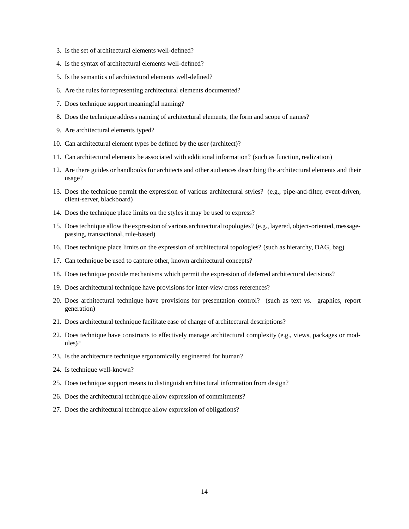- 3. Is the set of architectural elements well-defined?
- 4. Is the syntax of architectural elements well-defined?
- 5. Is the semantics of architectural elements well-defined?
- 6. Are the rules for representing architectural elements documented?
- 7. Does technique support meaningful naming?
- 8. Does the technique address naming of architectural elements, the form and scope of names?
- 9. Are architectural elements typed?
- 10. Can architectural element types be defined by the user (architect)?
- 11. Can architectural elements be associated with additional information? (such as function, realization)
- 12. Are there guides or handbooks for architects and other audiences describing the architectural elements and their usage?
- 13. Does the technique permit the expression of various architectural styles? (e.g., pipe-and-filter, event-driven, client-server, blackboard)
- 14. Does the technique place limits on the styles it may be used to express?
- 15. Does technique allow the expression of various architectural topologies? (e.g., layered, object-oriented, messagepassing, transactional, rule-based)
- 16. Does technique place limits on the expression of architectural topologies? (such as hierarchy, DAG, bag)
- 17. Can technique be used to capture other, known architectural concepts?
- 18. Does technique provide mechanisms which permit the expression of deferred architectural decisions?
- 19. Does architectural technique have provisions for inter-view cross references?
- 20. Does architectural technique have provisions for presentation control? (such as text vs. graphics, report generation)
- 21. Does architectural technique facilitate ease of change of architectural descriptions?
- 22. Does technique have constructs to effectively manage architectural complexity (e.g., views, packages or modules)?
- 23. Is the architecture technique ergonomically engineered for human?
- 24. Is technique well-known?
- 25. Does technique support means to distinguish architectural information from design?
- 26. Does the architectural technique allow expression of commitments?
- 27. Does the architectural technique allow expression of obligations?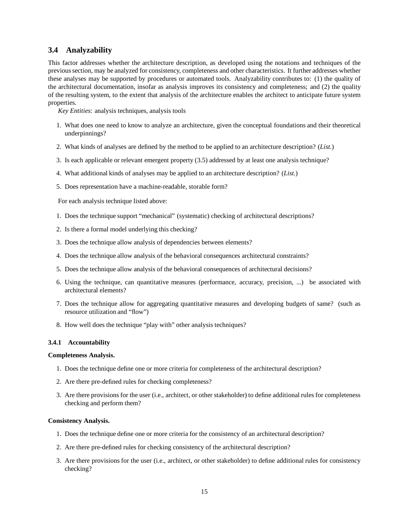# **3.4 Analyzability**

This factor addresses whether the architecture description, as developed using the notations and techniques of the previous section, may be analyzed for consistency, completeness and other characteristics. It further addresses whether these analyses may be supported by procedures or automated tools. Analyzability contributes to: (1) the quality of the architectural documentation, insofar as analysis improves its consistency and completeness; and (2) the quality of the resulting system, to the extent that analysis of the architecture enables the architect to anticipate future system properties.

*Key Entities*: analysis techniques, analysis tools

- 1. What does one need to know to analyze an architecture, given the conceptual foundations and their theoretical underpinnings?
- 2. What kinds of analyses are defined by the method to be applied to an architecture description? (*List.*)
- 3. Is each applicable or relevant emergent property (3.5) addressed by at least one analysis technique?
- 4. What additional kinds of analyses may be applied to an architecture description? (*List.*)
- 5. Does representation have a machine-readable, storable form?

For each analysis technique listed above:

- 1. Does the technique support "mechanical" (systematic) checking of architectural descriptions?
- 2. Is there a formal model underlying this checking?
- 3. Does the technique allow analysis of dependencies between elements?
- 4. Does the technique allow analysis of the behavioral consequences architectural constraints?
- 5. Does the technique allow analysis of the behavioral consequences of architectural decisions?
- 6. Using the technique, can quantitative measures (performance, accuracy, precision, ...) be associated with architectural elements?
- 7. Does the technique allow for aggregating quantitative measures and developing budgets of same? (such as resource utilization and "flow")
- 8. How well does the technique "play with" other analysis techniques?

#### **3.4.1 Accountability**

#### **Completeness Analysis.**

- 1. Does the technique define one or more criteria for completeness of the architectural description?
- 2. Are there pre-defined rules for checking completeness?
- 3. Are there provisions for the user (i.e., architect, or other stakeholder) to define additional rules for completeness checking and perform them?

#### **Consistency Analysis.**

- 1. Does the technique define one or more criteria for the consistency of an architectural description?
- 2. Are there pre-defined rules for checking consistency of the architectural description?
- 3. Are there provisions for the user (i.e., architect, or other stakeholder) to define additional rules for consistency checking?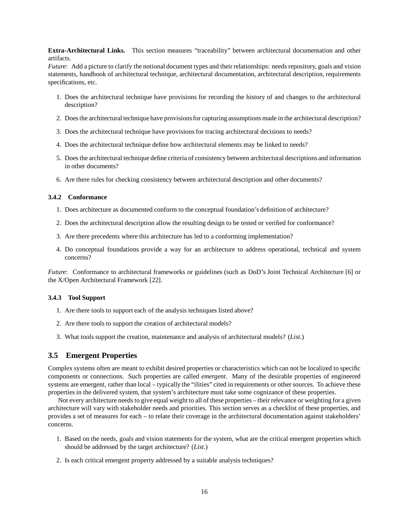**Extra-Architectural Links.** This section measures "traceability" between architectural documentation and other artifacts.

*Future*: Add a picture to clarify the notional document types and their relationships: needs repository, goals and vision statements, handbook of architectural technique, architectural documentation, architectural description, requirements specifications, etc.

- 1. Does the architectural technique have provisions for recording the history of and changes to the architectural description?
- 2. Does the architectural technique have provisionsfor capturing assumptions made in the architectural description?
- 3. Does the architectural technique have provisions for tracing architectural decisions to needs?
- 4. Does the architectural technique define how architectural elements may be linked to needs?
- 5. Does the architectural technique define criteria of consistency between architectural descriptions and information in other documents?
- 6. Are there rules for checking consistency between architectural description and other documents?

#### **3.4.2 Conformance**

- 1. Does architecture as documented conform to the conceptual foundation's definition of architecture?
- 2. Does the architectural description allow the resulting design to be tested or verified for conformance?
- 3. Are there precedents where this architecture has led to a conforming implementation?
- 4. Do conceptual foundations provide a way for an architecture to address operational, technical and system concerns?

*Future*: Conformance to architectural frameworks or guidelines (such as DoD's Joint Technical Architecture [6] or the X/Open Architectural Framework [22].

#### **3.4.3 Tool Support**

- 1. Are there tools to support each of the analysis techniques listed above?
- 2. Are there tools to support the creation of architectural models?
- 3. What tools support the creation, maintenance and analysis of architectural models? (*List.*)

### **3.5 Emergent Properties**

Complex systems often are meant to exhibit desired properties or characteristics which can not be localized to specific components or connections. Such properties are called *emergent*. Many of the desirable properties of engineered systems are emergent, rather than local – typically the "ilities" cited in requirements or other sources. To achieve these properties in the delivered system, that system's architecture must take some cognizance of these properties.

Not every architecture needs to give equal weight to all of these properties – their relevance or weighting for a given architecture will vary with stakeholder needs and priorities. This section serves as a checklist of these properties, and provides a set of measures for each – to relate their coverage in the architectural documentation against stakeholders' concerns.

- 1. Based on the needs, goals and vision statements for the system, what are the critical emergent properties which should be addressed by the target architecture? (*List.*)
- 2. Is each critical emergent property addressed by a suitable analysis techniques?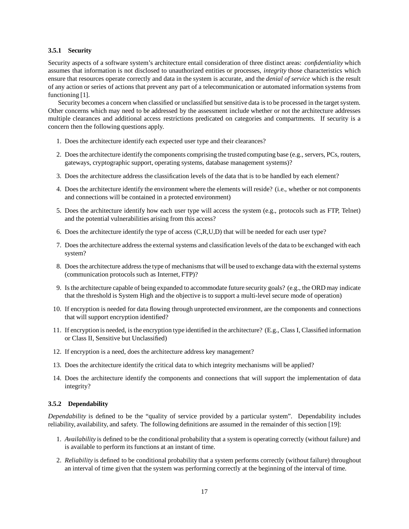### **3.5.1 Security**

Security aspects of a software system's architecture entail consideration of three distinct areas: *confidentiality* which assumes that information is not disclosed to unauthorized entities or processes, *integrity* those characteristics which ensure that resources operate correctly and data in the system is accurate, and the *denial of service* which is the result of any action or series of actions that prevent any part of a telecommunication or automated information systems from functioning [1].

Security becomes a concern when classified or unclassified but sensitive data is to be processed in the target system. Other concerns which may need to be addressed by the assessment include whether or not the architecture addresses multiple clearances and additional access restrictions predicated on categories and compartments. If security is a concern then the following questions apply.

- 1. Does the architecture identify each expected user type and their clearances?
- 2. Does the architecture identify the components comprising the trusted computing base (e.g., servers, PCs, routers, gateways, cryptographic support, operating systems, database management systems)?
- 3. Does the architecture address the classification levels of the data that is to be handled by each element?
- 4. Does the architecture identify the environment where the elements will reside? (i.e., whether or not components and connections will be contained in a protected environment)
- 5. Does the architecture identify how each user type will access the system (e.g., protocols such as FTP, Telnet) and the potential vulnerabilities arising from this access?
- 6. Does the architecture identify the type of access (C,R,U,D) that will be needed for each user type?
- 7. Does the architecture address the external systems and classification levels of the data to be exchanged with each system?
- 8. Does the architecture address the type of mechanisms that will be used to exchange data with the external systems (communication protocols such as Internet, FTP)?
- 9. Is the architecture capable of being expanded to accommodate future security goals? (e.g., the ORD may indicate that the threshold is System High and the objective is to support a multi-level secure mode of operation)
- 10. If encryption is needed for data flowing through unprotected environment, are the components and connections that will support encryption identified?
- 11. If encryption is needed, is the encryption type identified in the architecture? (E.g., Class I, Classified information or Class II, Sensitive but Unclassified)
- 12. If encryption is a need, does the architecture address key management?
- 13. Does the architecture identify the critical data to which integrity mechanisms will be applied?
- 14. Does the architecture identify the components and connections that will support the implementation of data integrity?

### **3.5.2 Dependability**

*Dependability* is defined to be the "quality of service provided by a particular system". Dependability includes reliability, availability, and safety. The following definitions are assumed in the remainder of this section [19]:

- 1. *Availability* is defined to be the conditional probability that a system is operating correctly (without failure) and is available to perform its functions at an instant of time.
- 2. *Reliability* is defined to be conditional probability that a system performs correctly (without failure) throughout an interval of time given that the system was performing correctly at the beginning of the interval of time.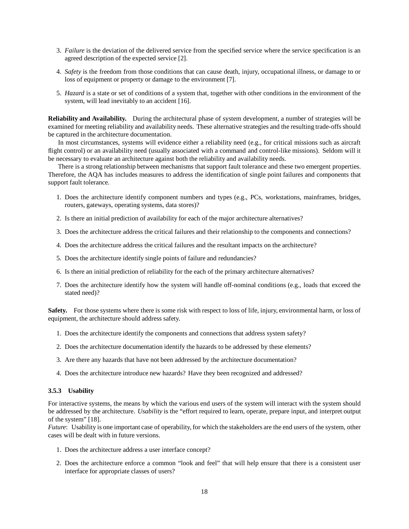- 3. *Failure* is the deviation of the delivered service from the specified service where the service specification is an agreed description of the expected service [2].
- 4. *Safety* is the freedom from those conditions that can cause death, injury, occupational illness, or damage to or loss of equipment or property or damage to the environment [7].
- 5. *Hazard* is a state or set of conditions of a system that, together with other conditions in the environment of the system, will lead inevitably to an accident [16].

**Reliability and Availability.** During the architectural phase of system development, a number of strategies will be examined for meeting reliability and availability needs. These alternative strategies and the resulting trade-offs should be captured in the architecture documentation.

In most circumstances, systems will evidence either a reliability need (e.g., for critical missions such as aircraft flight control) or an availability need (usually associated with a command and control-like missions). Seldom will it be necessary to evaluate an architecture against both the reliability and availability needs.

There is a strong relationship between mechanisms that support fault tolerance and these two emergent properties. Therefore, the AQA has includes measures to address the identification of single point failures and components that support fault tolerance.

- 1. Does the architecture identify component numbers and types (e.g., PCs, workstations, mainframes, bridges, routers, gateways, operating systems, data stores)?
- 2. Is there an initial prediction of availability for each of the major architecture alternatives?
- 3. Does the architecture address the critical failures and their relationship to the components and connections?
- 4. Does the architecture address the critical failures and the resultant impacts on the architecture?
- 5. Does the architecture identify single points of failure and redundancies?
- 6. Is there an initial prediction of reliability for the each of the primary architecture alternatives?
- 7. Does the architecture identify how the system will handle off-nominal conditions (e.g., loads that exceed the stated need)?

**Safety.** For those systems where there is some risk with respect to loss of life, injury, environmental harm, or loss of equipment, the architecture should address safety.

- 1. Does the architecture identify the components and connections that address system safety?
- 2. Does the architecture documentation identify the hazards to be addressed by these elements?
- 3. Are there any hazards that have not been addressed by the architecture documentation?
- 4. Does the architecture introduce new hazards? Have they been recognized and addressed?

### **3.5.3 Usability**

For interactive systems, the means by which the various end users of the system will interact with the system should be addressed by the architecture. *Usability* is the "effort required to learn, operate, prepare input, and interpret output of the system" [18].

*Future*: Usability is one important case of operability, for which the stakeholders are the end users of the system, other cases will be dealt with in future versions.

- 1. Does the architecture address a user interface concept?
- 2. Does the architecture enforce a common "look and feel" that will help ensure that there is a consistent user interface for appropriate classes of users?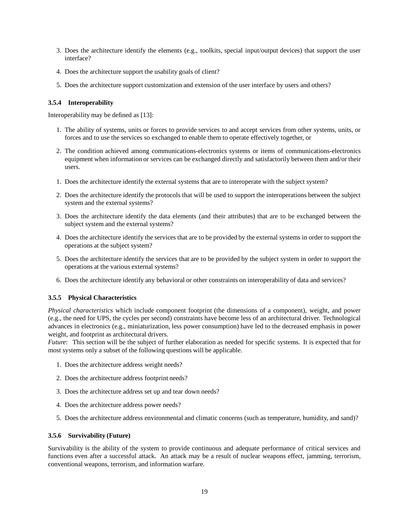- 3. Does the architecture identify the elements (e.g., toolkits, special input/output devices) that support the user interface?
- 4. Does the architecture support the usability goals of client?
- 5. Does the architecture support customization and extension of the user interface by users and others?

### **3.5.4 Interoperability**

Interoperability may be defined as [13]:

- 1. The ability of systems, units or forces to provide services to and accept services from other systems, units, or forces and to use the services so exchanged to enable them to operate effectively together, or
- 2. The condition achieved among communications-electronics systems or items of communications-electronics equipment when information or services can be exchanged directly and satisfactorily between them and/or their users.
- 1. Does the architecture identify the external systems that are to interoperate with the subject system?
- 2. Does the architecture identify the protocols that will be used to support the interoperations between the subject system and the external systems?
- 3. Does the architecture identify the data elements (and their attributes) that are to be exchanged between the subject system and the external systems?
- 4. Does the architecture identify the services that are to be provided by the external systems in order to support the operations at the subject system?
- 5. Does the architecture identify the services that are to be provided by the subject system in order to support the operations at the various external systems?
- 6. Does the architecture identify any behavioral or other constraints on interoperability of data and services?

### **3.5.5 Physical Characteristics**

*Physical characteristics* which include component footprint (the dimensions of a component), weight, and power (e.g., the need for UPS, the cycles per second) constraints have become less of an architectural driver. Technological advances in electronics (e.g., miniaturization, less power consumption) have led to the decreased emphasis in power weight, and footprint as architectural drivers.

*Future*: This section will be the subject of further elaboration as needed for specific systems. It is expected that for most systems only a subset of the following questions will be applicable.

- 1. Does the architecture address weight needs?
- 2. Does the architecture address footprint needs?
- 3. Does the architecture address set up and tear down needs?
- 4. Does the architecture address power needs?
- 5. Does the architecture address environmental and climatic concerns (such as temperature, humidity, and sand)?

### **3.5.6 Survivability (Future)**

Survivability is the ability of the system to provide continuous and adequate performance of critical services and functions even after a successful attack. An attack may be a result of nuclear weapons effect, jamming, terrorism, conventional weapons, terrorism, and information warfare.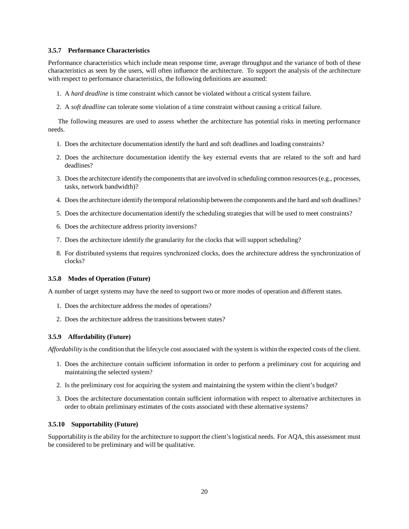### **3.5.7 Performance Characteristics**

Performance characteristics which include mean response time, average throughput and the variance of both of these characteristics as seen by the users, will often influence the architecture. To support the analysis of the architecture with respect to performance characteristics, the following definitions are assumed:

- 1. A *hard deadline* is time constraint which cannot be violated without a critical system failure.
- 2. A *soft deadline* can tolerate some violation of a time constraint without causing a critical failure.

The following measures are used to assess whether the architecture has potential risks in meeting performance needs.

- 1. Does the architecture documentation identify the hard and soft deadlines and loading constraints?
- 2. Does the architecture documentation identify the key external events that are related to the soft and hard deadlines?
- 3. Does the architecture identify the components that are involved in scheduling common resources (e.g., processes, tasks, network bandwidth)?
- 4. Does the architecture identify the temporal relationship between the components and the hard and soft deadlines?
- 5. Does the architecture documentation identify the scheduling strategies that will be used to meet constraints?
- 6. Does the architecture address priority inversions?
- 7. Does the architecture identify the granularity for the clocks that will support scheduling?
- 8. For distributed systems that requires synchronized clocks, does the architecture address the synchronization of clocks?

### **3.5.8 Modes of Operation (Future)**

A number of target systems may have the need to support two or more modes of operation and different states.

- 1. Does the architecture address the modes of operations?
- 2. Does the architecture address the transitions between states?

#### **3.5.9 Affordability (Future)**

*Affordability* is the condition that the lifecycle cost associated with the system is within the expected costs of the client.

- 1. Does the architecture contain sufficient information in order to perform a preliminary cost for acquiring and maintaining the selected system?
- 2. Is the preliminary cost for acquiring the system and maintaining the system within the client's budget?
- 3. Does the architecture documentation contain sufficient information with respect to alternative architectures in order to obtain preliminary estimates of the costs associated with these alternative systems?

#### **3.5.10 Supportability (Future)**

Supportability is the ability for the architecture to support the client's logistical needs. For AQA, this assessment must be considered to be preliminary and will be qualitative.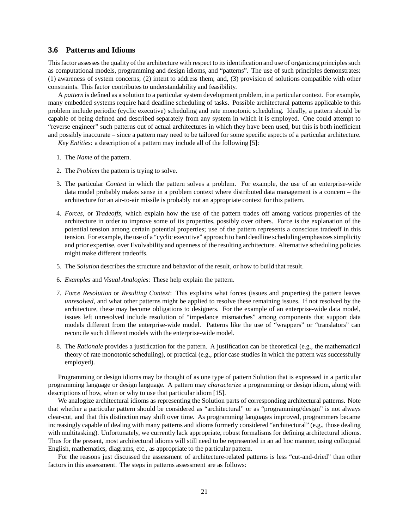### **3.6 Patterns and Idioms**

This factor assesses the quality of the architecture with respect to its identification and use of organizing principles such as computational models, programming and design idioms, and "patterns". The use of such principles demonstrates: (1) awareness of system concerns; (2) intent to address them; and, (3) provision of solutions compatible with other constraints. This factor contributes to understandability and feasibility.

A *pattern* is defined as a solution to a particular system development problem, in a particular context. For example, many embedded systems require hard deadline scheduling of tasks. Possible architectural patterns applicable to this problem include periodic (cyclic executive) scheduling and rate monotonic scheduling. Ideally, a pattern should be capable of being defined and described separately from any system in which it is employed. One could attempt to "reverse engineer" such patterns out of actual architectures in which they have been used, but this is both inefficient and possibly inaccurate – since a pattern may need to be tailored for some specific aspects of a particular architecture.

*Key Entities*: a description of a pattern may include all of the following [5]:

- 1. The *Name* of the pattern.
- 2. The *Problem* the pattern is trying to solve.
- 3. The particular *Context* in which the pattern solves a problem. For example, the use of an enterprise-wide data model probably makes sense in a problem context where distributed data management is a concern – the architecture for an air-to-air missile is probably not an appropriate context for this pattern.
- 4. *Forces*, or *Tradeoffs*, which explain how the use of the pattern trades off among various properties of the architecture in order to improve some of its properties, possibly over others. Force is the explanation of the potential tension among certain potential properties; use of the pattern represents a conscious tradeoff in this tension. For example, the use of a "cyclic executive" approach to hard deadline scheduling emphasizes simplicity and prior expertise, over Evolvability and openness of the resulting architecture. Alternative scheduling policies might make different tradeoffs.
- 5. The *Solution* describes the structure and behavior of the result, or how to build that result.
- 6. *Examples* and *Visual Analogies*: These help explain the pattern.
- 7. *Force Resolution* or *Resulting Context*: This explains what forces (issues and properties) the pattern leaves *unresolved*, and what other patterns might be applied to resolve these remaining issues. If not resolved by the architecture, these may become obligations to designers. For the example of an enterprise-wide data model, issues left unresolved include resolution of "impedance mismatches" among components that support data models different from the enterprise-wide model. Patterns like the use of "wrappers" or "translators" can reconcile such different models with the enterprise-wide model.
- 8. The *Rationale* provides a justification for the pattern. A justification can be theoretical (e.g., the mathematical theory of rate monotonic scheduling), or practical (e.g., prior case studies in which the pattern was successfully employed).

Programming or design idioms may be thought of as one type of pattern Solution that is expressed in a particular programming language or design language. A pattern may *characterize* a programming or design idiom, along with descriptions of how, when or why to use that particular idiom [15].

We analogize architectural idioms as representing the Solution parts of corresponding architectural patterns. Note that whether a particular pattern should be considered as "architectural" or as "programming/design" is not always clear-cut, and that this distinction may shift over time. As programming languages improved, programmers became increasingly capable of dealing with many patterns and idioms formerly considered "architectural" (e.g., those dealing with multitasking). Unfortunately, we currently lack appropriate, robust formalisms for defining architectural idioms. Thus for the present, most architectural idioms will still need to be represented in an ad hoc manner, using colloquial English, mathematics, diagrams, etc., as appropriate to the particular pattern.

For the reasons just discussed the assessment of architecture-related patterns is less "cut-and-dried" than other factors in this assessment. The steps in patterns assessment are as follows: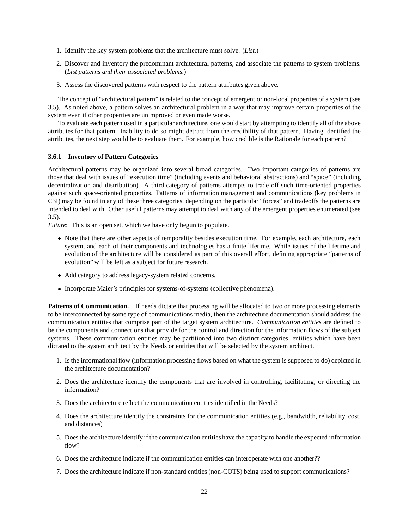- 1. Identify the key system problems that the architecture must solve. (*List.*)
- 2. Discover and inventory the predominant architectural patterns, and associate the patterns to system problems. (*List patterns and their associated problems.*)
- 3. Assess the discovered patterns with respect to the pattern attributes given above.

The concept of "architectural pattern" is related to the concept of emergent or non-local properties of a system (see 3.5). As noted above, a pattern solves an architectural problem in a way that may improve certain properties of the system even if other properties are unimproved or even made worse.

To evaluate each pattern used in a particular architecture, one would start by attempting to identify all of the above attributes for that pattern. Inability to do so might detract from the credibility of that pattern. Having identified the attributes, the next step would be to evaluate them. For example, how credible is the Rationale for each pattern?

#### **3.6.1 Inventory of Pattern Categories**

Architectural patterns may be organized into several broad categories. Two important categories of patterns are those that deal with issues of "execution time" (including events and behavioral abstractions) and "space" (including decentralization and distribution). A third category of patterns attempts to trade off such time-oriented properties against such space-oriented properties. Patterns of information management and communications (key problems in C3I) may be found in any of these three categories, depending on the particular "forces" and tradeoffs the patterns are intended to deal with. Other useful patterns may attempt to deal with any of the emergent properties enumerated (see 3.5).

*Future*: This is an open set, which we have only begun to populate.

- Note that there are other aspects of temporality besides execution time. For example, each architecture, each system, and each of their components and technologies has a finite lifetime. While issues of the lifetime and evolution of the architecture will be considered as part of this overall effort, defining appropriate "patterns of evolution" will be left as a subject for future research.
- Add category to address legacy-system related concerns.
- Incorporate Maier's principles for systems-of-systems (collective phenomena).

**Patterns of Communication.** If needs dictate that processing will be allocated to two or more processing elements to be interconnected by some type of communications media, then the architecture documentation should address the communication entities that comprise part of the target system architecture. *Communication entities* are defined to be the components and connections that provide for the control and direction for the information flows of the subject systems. These communication entities may be partitioned into two distinct categories, entities which have been dictated to the system architect by the Needs or entities that will be selected by the system architect.

- 1. Is the informational flow (information processing flows based on what the system is supposed to do) depicted in the architecture documentation?
- 2. Does the architecture identify the components that are involved in controlling, facilitating, or directing the information?
- 3. Does the architecture reflect the communication entities identified in the Needs?
- 4. Does the architecture identify the constraints for the communication entities (e.g., bandwidth, reliability, cost, and distances)
- 5. Does the architecture identify if the communication entities have the capacity to handle the expected information flow?
- 6. Does the architecture indicate if the communication entities can interoperate with one another??
- 7. Does the architecture indicate if non-standard entities (non-COTS) being used to support communications?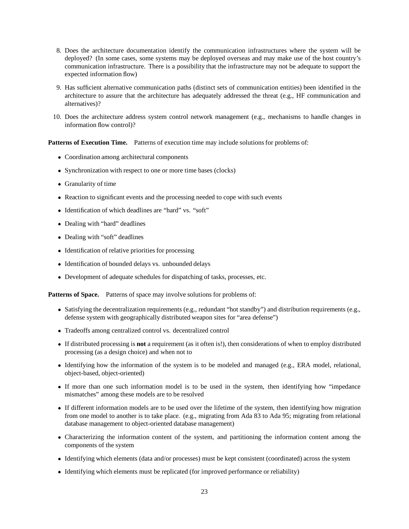- 8. Does the architecture documentation identify the communication infrastructures where the system will be deployed? (In some cases, some systems may be deployed overseas and may make use of the host country's communication infrastructure. There is a possibility that the infrastructure may not be adequate to support the expected information flow)
- 9. Has sufficient alternative communication paths (distinct sets of communication entities) been identified in the architecture to assure that the architecture has adequately addressed the threat (e.g., HF communication and alternatives)?
- 10. Does the architecture address system control network management (e.g., mechanisms to handle changes in information flow control)?

Patterns of Execution Time. Patterns of execution time may include solutions for problems of:

- Coordination among architectural components
- Synchronization with respect to one or more time bases (clocks)
- Granularity of time
- Reaction to significant events and the processing needed to cope with such events
- Identification of which deadlines are "hard" vs. "soft"
- Dealing with "hard" deadlines
- Dealing with "soft" deadlines
- Identification of relative priorities for processing
- Identification of bounded delays vs. unbounded delays
- Development of adequate schedules for dispatching of tasks, processes, etc.

Patterns of Space. Patterns of space may involve solutions for problems of:

- Satisfying the decentralization requirements (e.g., redundant "hot standby") and distribution requirements (e.g., defense system with geographically distributed weapon sites for "area defense")
- Tradeoffs among centralized control vs. decentralized control
- If distributed processing is **not** a requirement (as it often is!), then considerations of when to employ distributed processing (as a design choice) and when not to
- Identifying how the information of the system is to be modeled and managed (e.g., ERA model, relational, object-based, object-oriented)
- If more than one such information model is to be used in the system, then identifying how "impedance mismatches" among these models are to be resolved
- If different information models are to be used over the lifetime of the system, then identifying how migration from one model to another is to take place. (e.g., migrating from Ada 83 to Ada 95; migrating from relational database management to object-oriented database management)
- Characterizing the information content of the system, and partitioning the information content among the components of the system
- Identifying which elements (data and/or processes) must be kept consistent (coordinated) across the system
- Identifying which elements must be replicated (for improved performance or reliability)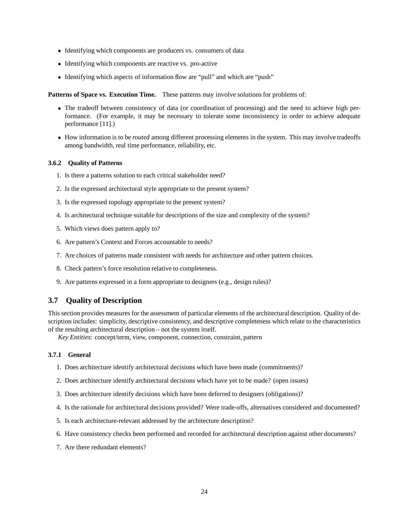- Identifying which components are producers vs. consumers of data
- Identifying which components are reactive vs. pro-active
- Identifying which aspects of information flow are "pull" and which are "push"

**Patterns of Space vs. Execution Time.** These patterns may involve solutions for problems of:

- The tradeoff between consistency of data (or coordination of processing) and the need to achieve high performance. (For example, it may be necessary to tolerate some inconsistency in order to achieve adequate performance [11].)
- How information is to be *routed* among different processing elements in the system. This may involve tradeoffs among bandwidth, real time performance, reliability, etc.

### **3.6.2 Quality of Patterns**

- 1. Is there a patterns solution to each critical stakeholder need?
- 2. Is the expressed architectural style appropriate to the present system?
- 3. Is the expressed topology appropriate to the present system?
- 4. Is architectural technique suitable for descriptions of the size and complexity of the system?
- 5. Which views does pattern apply to?
- 6. Are pattern's Context and Forces accountable to needs?
- 7. Are choices of patterns made consistent with needs for architecture and other pattern choices.
- 8. Check pattern's force resolution relative to completeness.
- 9. Are patterns expressed in a form appropriate to designers (e.g., design rules)?

# **3.7 Quality of Description**

This section provides measures for the assessment of particular elements of the architectural description. Quality of description includes: simplicity, descriptive consistency, and descriptive completeness which relate to the characteristics of the resulting architectural description – not the system itself.

*Key Entities*: concept/term, view, component, connection, constraint, pattern

### **3.7.1 General**

- 1. Does architecture identify architectural decisions which have been made (commitments)?
- 2. Does architecture identify architectural decisions which have yet to be made? (open issues)
- 3. Does architecture identify decisions which have been deferred to designers (obligations)?
- 4. Is the rationale for architectural decisions provided? Were trade-offs, alternatives considered and documented?
- 5. Is each architecture-relevant addressed by the architecture description?
- 6. Have consistency checks been performed and recorded for architectural description against other documents?
- 7. Are there redundant elements?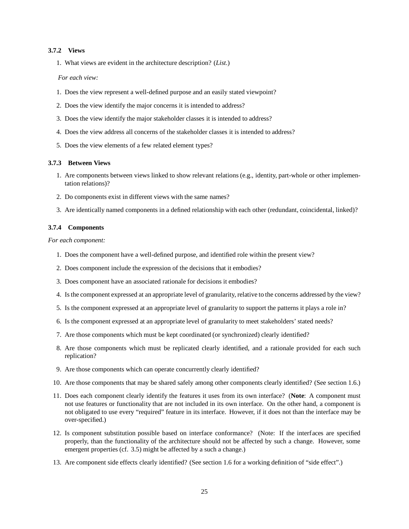#### **3.7.2 Views**

1. What views are evident in the architecture description? (*List.*)

*For each view:*

- 1. Does the view represent a well-defined purpose and an easily stated viewpoint?
- 2. Does the view identify the major concerns it is intended to address?
- 3. Does the view identify the major stakeholder classes it is intended to address?
- 4. Does the view address all concerns of the stakeholder classes it is intended to address?
- 5. Does the view elements of a few related element types?

### **3.7.3 Between Views**

- 1. Are components between views linked to show relevant relations (e.g., identity, part-whole or other implementation relations)?
- 2. Do components exist in different views with the same names?
- 3. Are identically named components in a defined relationship with each other (redundant, coincidental, linked)?

### **3.7.4 Components**

*For each component:*

- 1. Does the component have a well-defined purpose, and identified role within the present view?
- 2. Does component include the expression of the decisions that it embodies?
- 3. Does component have an associated rationale for decisions it embodies?
- 4. Is the component expressed at an appropriate level of granularity, relative to the concerns addressed by the view?
- 5. Is the component expressed at an appropriate level of granularity to support the patterns it plays a role in?
- 6. Is the component expressed at an appropriate level of granularity to meet stakeholders' stated needs?
- 7. Are those components which must be kept coordinated (or synchronized) clearly identified?
- 8. Are those components which must be replicated clearly identified, and a rationale provided for each such replication?
- 9. Are those components which can operate concurrently clearly identified?
- 10. Are those components that may be shared safely among other components clearly identified? (See section 1.6.)
- 11. Does each component clearly identify the features it uses from its own interface? (**Note**: A component must not use features or functionality that are not included in its own interface. On the other hand, a component is not obligated to use every "required" feature in its interface. However, if it does not than the interface may be over-specified.)
- 12. Is component substitution possible based on interface conformance? (Note: If the interfaces are specified properly, than the functionality of the architecture should not be affected by such a change. However, some emergent properties (cf. 3.5) might be affected by a such a change.)
- 13. Are component side effects clearly identified? (See section 1.6 for a working definition of "side effect".)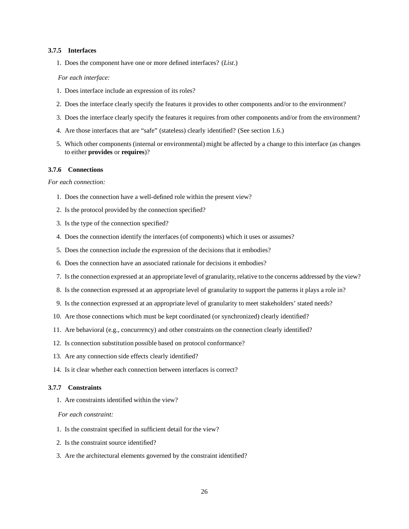#### **3.7.5 Interfaces**

1. Does the component have one or more defined interfaces? (*List.*)

#### *For each interface:*

- 1. Does interface include an expression of its roles?
- 2. Does the interface clearly specify the features it provides to other components and/or to the environment?
- 3. Does the interface clearly specify the features it requires from other components and/or from the environment?
- 4. Are those interfaces that are "safe" (stateless) clearly identified? (See section 1.6.)
- 5. Which other components (internal or environmental) might be affected by a change to this interface (as changes to either **provides** or **requires**)?

### **3.7.6 Connections**

#### *For each connection:*

- 1. Does the connection have a well-defined role within the present view?
- 2. Is the protocol provided by the connection specified?
- 3. Is the type of the connection specified?
- 4. Does the connection identify the interfaces (of components) which it uses or assumes?
- 5. Does the connection include the expression of the decisions that it embodies?
- 6. Does the connection have an associated rationale for decisions it embodies?
- 7. Is the connection expressed at an appropriate level of granularity, relative to the concerns addressed by the view?
- 8. Is the connection expressed at an appropriate level of granularity to support the patterns it plays a role in?
- 9. Is the connection expressed at an appropriate level of granularity to meet stakeholders' stated needs?
- 10. Are those connections which must be kept coordinated (or synchronized) clearly identified?
- 11. Are behavioral (e.g., concurrency) and other constraints on the connection clearly identified?
- 12. Is connection substitution possible based on protocol conformance?
- 13. Are any connection side effects clearly identified?
- 14. Is it clear whether each connection between interfaces is correct?

#### **3.7.7 Constraints**

1. Are constraints identified within the view?

### *For each constraint:*

- 1. Is the constraint specified in sufficient detail for the view?
- 2. Is the constraint source identified?
- 3. Are the architectural elements governed by the constraint identified?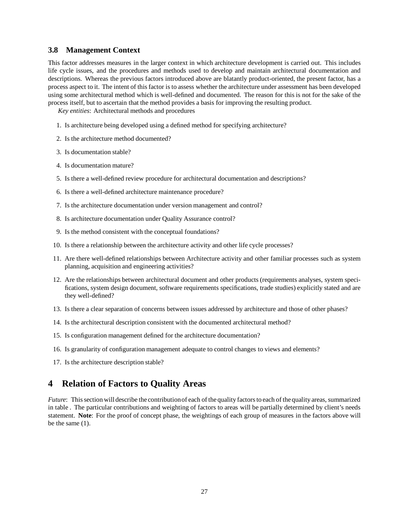### **3.8 Management Context**

This factor addresses measures in the larger context in which architecture development is carried out. This includes life cycle issues, and the procedures and methods used to develop and maintain architectural documentation and descriptions. Whereas the previous factors introduced above are blatantly product-oriented, the present factor, has a process aspect to it. The intent of this factor is to assess whether the architecture under assessment has been developed using some architectural method which is well-defined and documented. The reason for this is not for the sake of the process itself, but to ascertain that the method provides a basis for improving the resulting product.

*Key entities*: Architectural methods and procedures

- 1. Is architecture being developed using a defined method for specifying architecture?
- 2. Is the architecture method documented?
- 3. Is documentation stable?
- 4. Is documentation mature?
- 5. Is there a well-defined review procedure for architectural documentation and descriptions?
- 6. Is there a well-defined architecture maintenance procedure?
- 7. Is the architecture documentation under version management and control?
- 8. Is architecture documentation under Quality Assurance control?
- 9. Is the method consistent with the conceptual foundations?
- 10. Is there a relationship between the architecture activity and other life cycle processes?
- 11. Are there well-defined relationships between Architecture activity and other familiar processes such as system planning, acquisition and engineering activities?
- 12. Are the relationships between architectural document and other products (requirements analyses, system specifications, system design document, software requirements specifications, trade studies) explicitly stated and are they well-defined?
- 13. Is there a clear separation of concerns between issues addressed by architecture and those of other phases?
- 14. Is the architectural description consistent with the documented architectural method?
- 15. Is configuration management defined for the architecture documentation?
- 16. Is granularity of configuration management adequate to control changes to views and elements?
- 17. Is the architecture description stable?

# **4 Relation of Factors to Quality Areas**

*Future*: This section will describe the contributionof each of the quality factors to each of the quality areas, summarized in table . The particular contributions and weighting of factors to areas will be partially determined by client's needs statement. **Note**: For the proof of concept phase, the weightings of each group of measures in the factors above will be the same (1).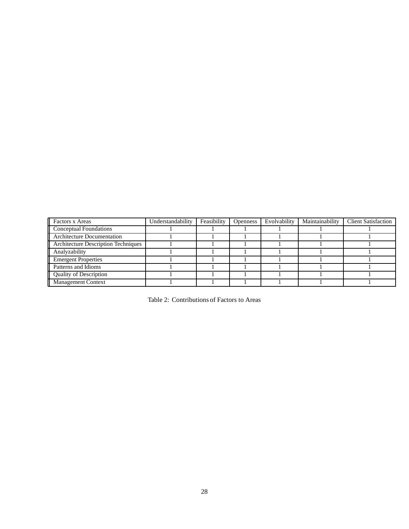| Factors x Areas                            | Understandability | Feasibility | <b>Openness</b> | Evolvability | Maintainability | <b>Client Satisfaction</b> |
|--------------------------------------------|-------------------|-------------|-----------------|--------------|-----------------|----------------------------|
| Conceptual Foundations                     |                   |             |                 |              |                 |                            |
| <b>Architecture Documentation</b>          |                   |             |                 |              |                 |                            |
| <b>Architecture Description Techniques</b> |                   |             |                 |              |                 |                            |
| Analyzability                              |                   |             |                 |              |                 |                            |
| <b>Emergent Properties</b>                 |                   |             |                 |              |                 |                            |
| Patterns and Idioms                        |                   |             |                 |              |                 |                            |
| <b>Quality of Description</b>              |                   |             |                 |              |                 |                            |
| Management Context                         |                   |             |                 |              |                 |                            |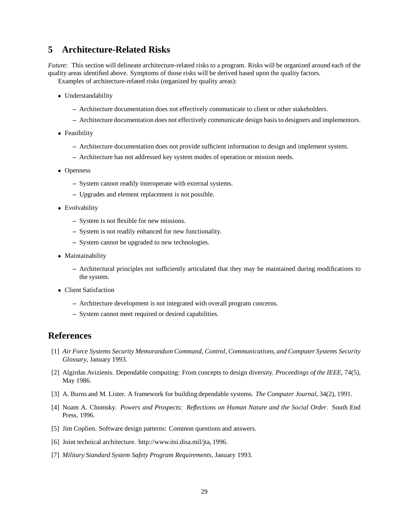# **5 Architecture-Related Risks**

*Future*: This section will delineate architecture-related risks to a program. Risks will be organized around each of the quality areas identified above. Symptoms of those risks will be derived based upon the quality factors.

Examples of architecture-related risks (organized by quality areas):

- Understandability
	- **–** Architecture documentation does not effectively communicate to client or other stakeholders.
	- **–** Architecture documentation does not effectively communicate design basis to designers and implementors.
- Feasibility
	- **–** Architecture documentation does not provide sufficient information to design and implement system.
	- **–** Architecture has not addressed key system modes of operation or mission needs.
- Openness
	- **–** System cannot readily interoperate with external systems.
	- **–** Upgrades and element replacement is not possible.
- Evolvability
	- **–** System is not flexible for new missions.
	- **–** System is not readily enhanced for new functionality.
	- **–** System cannot be upgraded to new technologies.
- Maintainability
	- **–** Architectural principles not sufficiently articulated that they may be maintained during modifications to the system.
- Client Satisfaction
	- **–** Architecture development is not integrated with overall program concerns.
	- **–** System cannot meet required or desired capabilities.

# **References**

- [1] *Air Force Systems Security Memorandum Command, Control, Communications, and Computer Systems Security Glossary*, January 1993.
- [2] Algirdas Avizienis. Dependable computing: From concepts to design diversity. *Proceedings of the IEEE*, 74(5), May 1986.
- [3] A. Burns and M. Lister. A framework for building dependable systems. *The Computer Journal*, 34(2), 1991.
- [4] Noam A. Chomsky. *Powers and Prospects: Reflections on Human Nature and the Social Order*. South End Press, 1996.
- [5] Jim Coplien. Software design patterns: Common questions and answers.
- [6] Joint technical architecture. http://www.itsi.disa.mil/jta, 1996.
- [7] *Military Standard System Safety Program Requirements*, January 1993.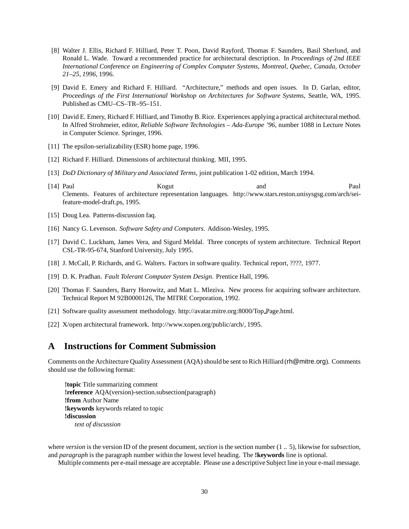- [8] Walter J. Ellis, Richard F. Hilliard, Peter T. Poon, David Rayford, Thomas F. Saunders, Basil Sherlund, and Ronald L. Wade. Toward a recommended practice for architectural description. In *Proceedings of 2nd IEEE International Conference on Engineering of Complex Computer Systems, Montreal, Quebec, Canada, October 21–25, 1996*, 1996.
- [9] David E. Emery and Richard F. Hilliard. "Architecture," methods and open issues. In D. Garlan, editor, *Proceedings of the First International Workshop on Architectures for Software Systems*, Seattle, WA, 1995. Published as CMU–CS–TR–95–151.
- [10] David E. Emery, Richard F. Hilliard, and Timothy B. Rice. Experiences applying a practical architectural method. In Alfred Strohmeier, editor, *Reliable Software Technologies – Ada-Europe '96*, number 1088 in Lecture Notes in Computer Science. Springer, 1996.
- [11] The epsilon-serializability (ESR) home page, 1996.
- [12] Richard F. Hilliard. Dimensions of architectural thinking. MII, 1995.
- [13] *DoD Dictionary of Military and Associated Terms*, joint publication 1-02 edition, March 1994.
- [14] Paul Kogut and Paul Clements. Features of architecture representation languages. http://www.stars.reston.unisysgsg.com/arch/seifeature-model-draft.ps, 1995.
- [15] Doug Lea. Patterns-discussion faq.
- [16] Nancy G. Levenson. *Software Safety and Computers*. Addison-Wesley, 1995.
- [17] David C. Luckham, James Vera, and Sigurd Meldal. Three concepts of system architecture. Technical Report CSL-TR-95-674, Stanford University, July 1995.
- [18] J. McCall, P. Richards, and G. Walters. Factors in software quality. Technical report, ????, 1977.
- [19] D. K. Pradhan. *Fault Tolerant Computer System Design*. Prentice Hall, 1996.
- [20] Thomas F. Saunders, Barry Horowitz, and Matt L. Mleziva. New process for acquiring software architecture. Technical Report M 92B0000126, The MITRE Corporation, 1992.
- [21] Software quality assessment methodology. http://avatar.mitre.org:8000/Top Page.html.
- [22] X/open architectural framework. http://www.xopen.org/public/arch/, 1995.

# **A Instructions for Comment Submission**

Comments on the Architecture Quality Assessment (AQA) should be sent to Rich Hilliard (rh@mitre.org). Comments should use the following format:

**!topic** Title summarizing comment **!reference** AQA(version)-section.subsection(paragraph) **!from** Author Name **!keywords** keywords related to topic **!discussion** *text of discussion*

where *version* is the version ID of the present document, *section* is the section number (1 .. 5), likewise for*subsection*, and *paragraph* is the paragraph number within the lowest level heading. The **!keywords** line is optional.

Multiple comments per e-mail message are acceptable. Please use a descriptive Subject line in your e-mail message.